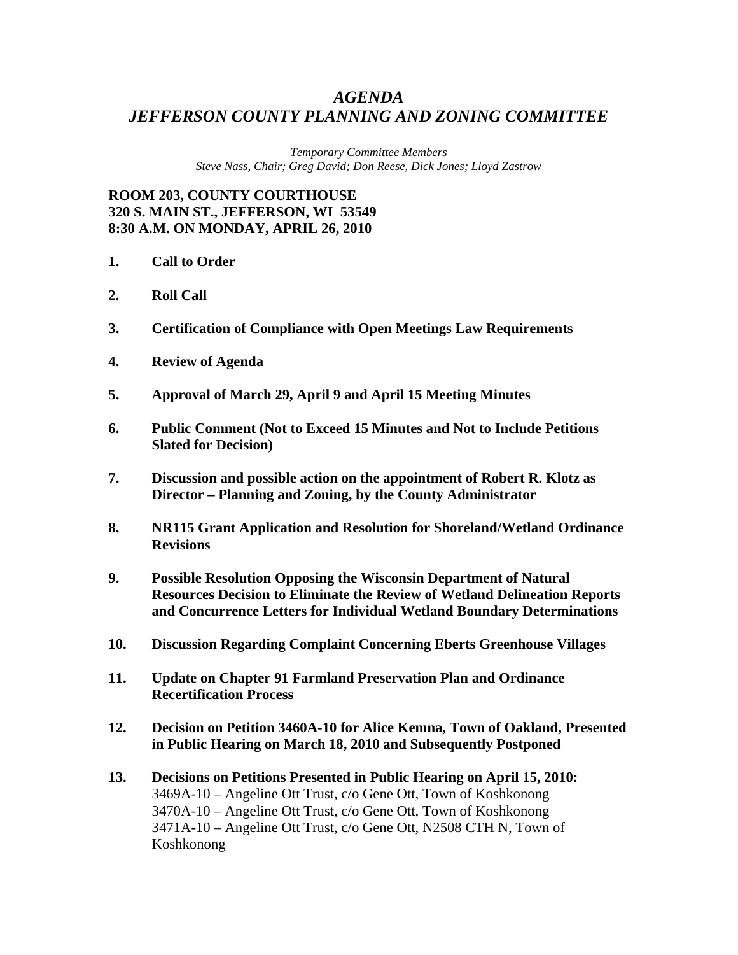## *AGENDA JEFFERSON COUNTY PLANNING AND ZONING COMMITTEE*

*Temporary Committee Members Steve Nass, Chair; Greg David; Don Reese, Dick Jones; Lloyd Zastrow* 

**ROOM 203, COUNTY COURTHOUSE 320 S. MAIN ST., JEFFERSON, WI 53549 8:30 A.M. ON MONDAY, APRIL 26, 2010** 

- **1. Call to Order**
- **2. Roll Call**
- **3. Certification of Compliance with Open Meetings Law Requirements**
- **4. Review of Agenda**
- **5. Approval of March 29, April 9 and April 15 Meeting Minutes**
- **6. Public Comment (Not to Exceed 15 Minutes and Not to Include Petitions Slated for Decision)**
- **7. Discussion and possible action on the appointment of Robert R. Klotz as Director – Planning and Zoning, by the County Administrator**
- **8. NR115 Grant Application and Resolution for Shoreland/Wetland Ordinance Revisions**
- **9. Possible Resolution Opposing the Wisconsin Department of Natural Resources Decision to Eliminate the Review of Wetland Delineation Reports and Concurrence Letters for Individual Wetland Boundary Determinations**
- **10. Discussion Regarding Complaint Concerning Eberts Greenhouse Villages**
- **11. Update on Chapter 91 Farmland Preservation Plan and Ordinance Recertification Process**
- **12. Decision on Petition 3460A-10 for Alice Kemna, Town of Oakland, Presented in Public Hearing on March 18, 2010 and Subsequently Postponed**
- **13. Decisions on Petitions Presented in Public Hearing on April 15, 2010:**  3469A-10 – Angeline Ott Trust, c/o Gene Ott, Town of Koshkonong 3470A-10 – Angeline Ott Trust, c/o Gene Ott, Town of Koshkonong 3471A-10 – Angeline Ott Trust, c/o Gene Ott, N2508 CTH N, Town of Koshkonong